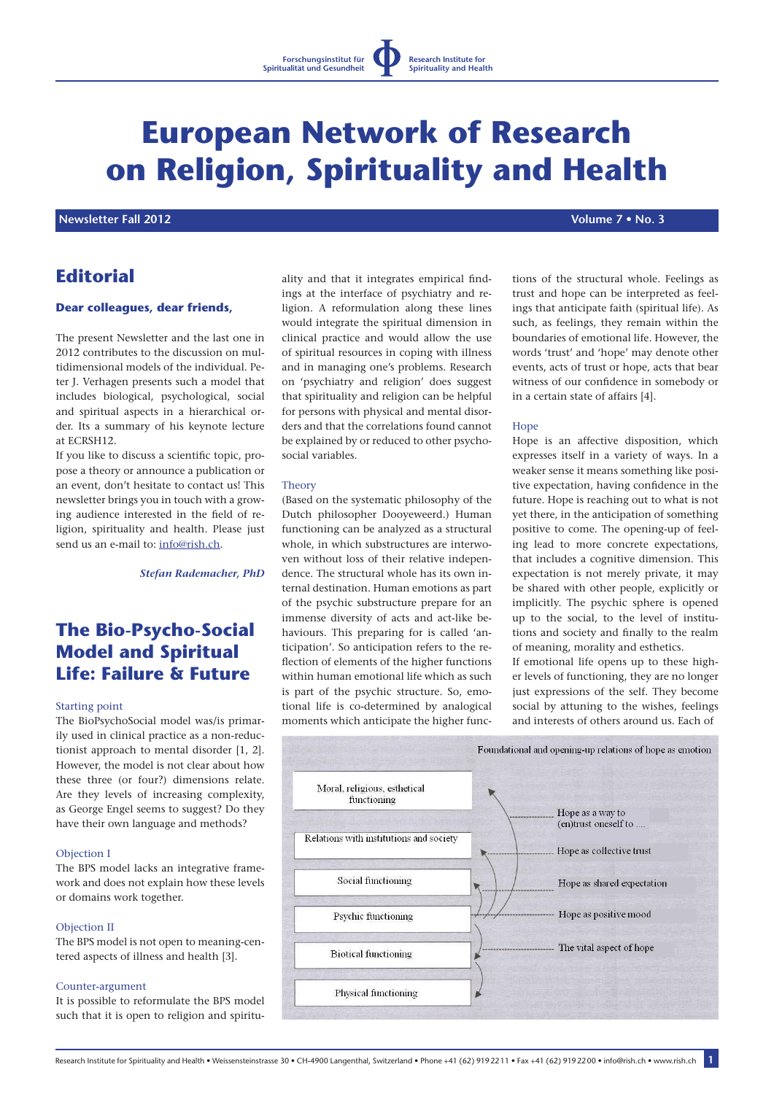# **European Network of Research on Religion, Spirituality and Health**

# **Newsletter Fall 2012 Volume 7 • No. 3**

# **Editorial**

### **Dear colleagues, dear friends,**

The present Newsletter and the last one in 2012 contributes to the discussion on multidimensional models of the individual. Peter J. Verhagen presents such a model that includes biological, psychological, social and spiritual aspects in a hierarchical order. Its a summary of his keynote lecture at ECRSH12.

If you like to discuss a scientific topic, propose a theory or announce a publication or an event, don't hesitate to contact us! This newsletter brings you in touch with a growing audience interested in the field of religion, spirituality and health. Please just send us an e-mail to: info@rish.ch.

*Stefan Rademacher, PhD*

# **The Bio-Psycho-Social Model and Spiritual Life: Failure & Future**

### Starting point

The BioPsychoSocial model was/is primarily used in clinical practice as a non-reductionist approach to mental disorder [1, 2]. However, the model is not clear about how these three (or four?) dimensions relate. Are they levels of increasing complexity, as George Engel seems to suggest? Do they have their own language and methods?

### Objection I

The BPS model lacks an integrative framework and does not explain how these levels or domains work together.

#### Objection II

The BPS model is not open to meaning-centered aspects of illness and health [3].

### Counter-argument

It is possible to reformulate the BPS model such that it is open to religion and spirituality and that it integrates empirical findings at the interface of psychiatry and religion. A reformulation along these lines would integrate the spiritual dimension in clinical practice and would allow the use of spiritual resources in coping with illness and in managing one's problems. Research on 'psychiatry and religion' does suggest that spirituality and religion can be helpful for persons with physical and mental disorders and that the correlations found cannot be explained by or reduced to other psychosocial variables.

### Theory

(Based on the systematic philosophy of the Dutch philosopher Dooyeweerd.) Human functioning can be analyzed as a structural whole, in which substructures are interwoven without loss of their relative independence. The structural whole has its own internal destination. Human emotions as part of the psychic substructure prepare for an immense diversity of acts and act-like behaviours. This preparing for is called 'anticipation'. So anticipation refers to the reflection of elements of the higher functions within human emotional life which as such is part of the psychic structure. So, emotional life is co-determined by analogical moments which anticipate the higher func-

tions of the structural whole. Feelings as trust and hope can be interpreted as feelings that anticipate faith (spiritual life). As such, as feelings, they remain within the boundaries of emotional life. However, the words 'trust' and 'hope' may denote other events, acts of trust or hope, acts that bear witness of our confidence in somebody or in a certain state of affairs [4].

#### **H**ope

Hope is an affective disposition, which expresses itself in a variety of ways. In a weaker sense it means something like positive expectation, having confidence in the future. Hope is reaching out to what is not yet there, in the anticipation of something positive to come. The opening-up of feeling lead to more concrete expectations, that includes a cognitive dimension. This expectation is not merely private, it may be shared with other people, explicitly or implicitly. The psychic sphere is opened up to the social, to the level of institutions and society and finally to the realm of meaning, morality and esthetics.

If emotional life opens up to these higher levels of functioning, they are no longer just expressions of the self. They become social by attuning to the wishes, feelings and interests of others around us. Each of